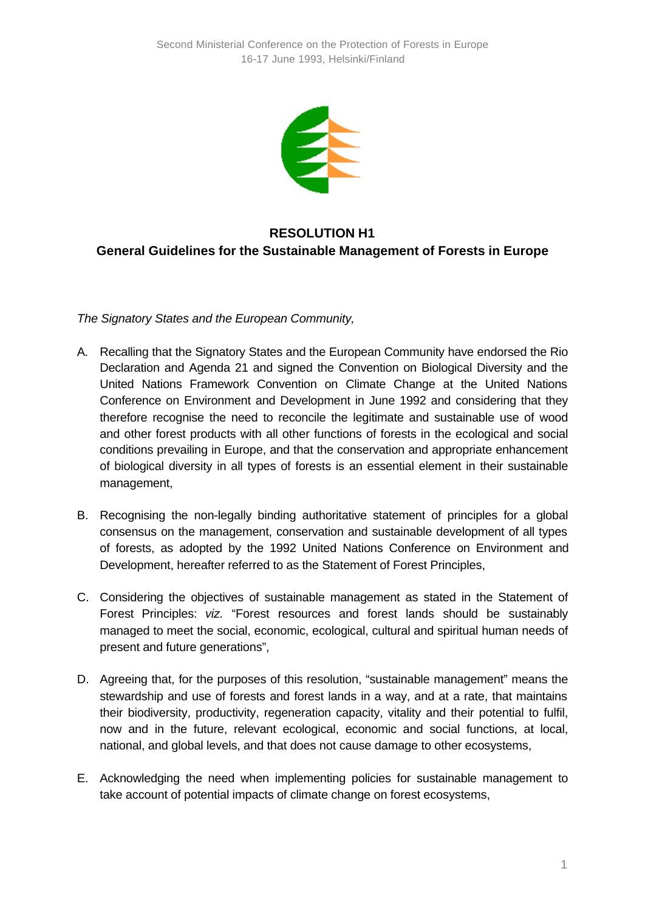

## **RESOLUTION H1 General Guidelines for the Sustainable Management of Forests in Europe**

*The Signatory States and the European Community,*

- A. Recalling that the Signatory States and the European Community have endorsed the Rio Declaration and Agenda 21 and signed the Convention on Biological Diversity and the United Nations Framework Convention on Climate Change at the United Nations Conference on Environment and Development in June 1992 and considering that they therefore recognise the need to reconcile the legitimate and sustainable use of wood and other forest products with all other functions of forests in the ecological and social conditions prevailing in Europe, and that the conservation and appropriate enhancement of biological diversity in all types of forests is an essential element in their sustainable management,
- B. Recognising the non-legally binding authoritative statement of principles for a global consensus on the management, conservation and sustainable development of all types of forests, as adopted by the 1992 United Nations Conference on Environment and Development, hereafter referred to as the Statement of Forest Principles,
- C. Considering the objectives of sustainable management as stated in the Statement of Forest Principles: *viz.* "Forest resources and forest lands should be sustainably managed to meet the social, economic, ecological, cultural and spiritual human needs of present and future generations",
- D. Agreeing that, for the purposes of this resolution, "sustainable management" means the stewardship and use of forests and forest lands in a way, and at a rate, that maintains their biodiversity, productivity, regeneration capacity, vitality and their potential to fulfil, now and in the future, relevant ecological, economic and social functions, at local, national, and global levels, and that does not cause damage to other ecosystems,
- E. Acknowledging the need when implementing policies for sustainable management to take account of potential impacts of climate change on forest ecosystems,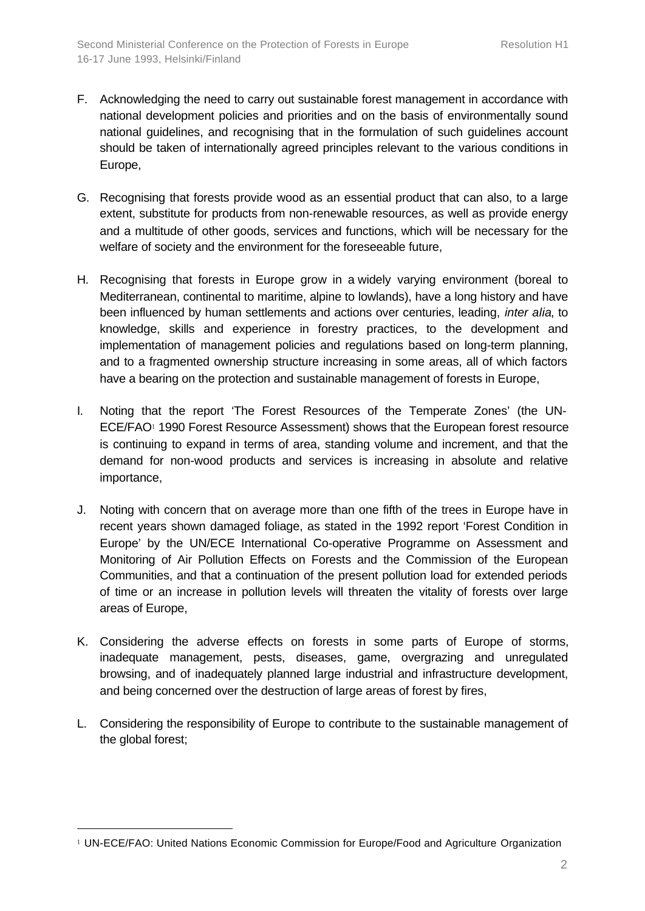- F. Acknowledging the need to carry out sustainable forest management in accordance with national development policies and priorities and on the basis of environmentally sound national guidelines, and recognising that in the formulation of such guidelines account should be taken of internationally agreed principles relevant to the various conditions in Europe,
- G. Recognising that forests provide wood as an essential product that can also, to a large extent, substitute for products from non-renewable resources, as well as provide energy and a multitude of other goods, services and functions, which will be necessary for the welfare of society and the environment for the foreseeable future,
- H. Recognising that forests in Europe grow in a widely varying environment (boreal to Mediterranean, continental to maritime, alpine to lowlands), have a long history and have been influenced by human settlements and actions over centuries, leading, *inter alia*, to knowledge, skills and experience in forestry practices, to the development and implementation of management policies and regulations based on long-term planning, and to a fragmented ownership structure increasing in some areas, all of which factors have a bearing on the protection and sustainable management of forests in Europe,
- I. Noting that the report 'The Forest Resources of the Temperate Zones' (the UN-ECE/FAO<sup>1</sup> 1990 Forest Resource Assessment) shows that the European forest resource is continuing to expand in terms of area, standing volume and increment, and that the demand for non-wood products and services is increasing in absolute and relative importance,
- J. Noting with concern that on average more than one fifth of the trees in Europe have in recent years shown damaged foliage, as stated in the 1992 report 'Forest Condition in Europe' by the UN/ECE International Co-operative Programme on Assessment and Monitoring of Air Pollution Effects on Forests and the Commission of the European Communities, and that a continuation of the present pollution load for extended periods of time or an increase in pollution levels will threaten the vitality of forests over large areas of Europe,
- K. Considering the adverse effects on forests in some parts of Europe of storms, inadequate management, pests, diseases, game, overgrazing and unregulated browsing, and of inadequately planned large industrial and infrastructure development, and being concerned over the destruction of large areas of forest by fires,
- L. Considering the responsibility of Europe to contribute to the sustainable management of the global forest;

l

<sup>1</sup> UN-ECE/FAO: United Nations Economic Commission for Europe/Food and Agriculture Organization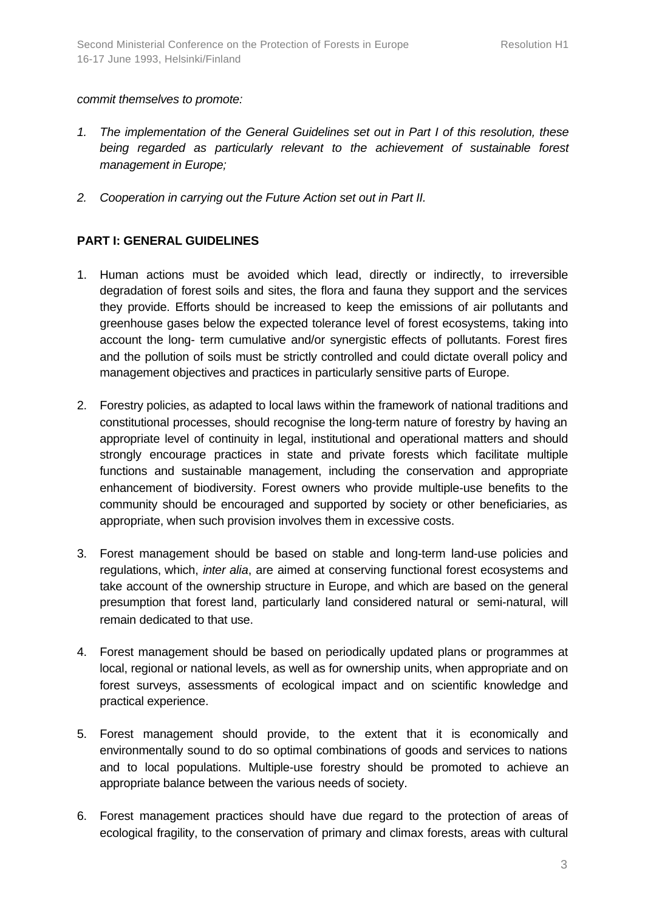## *commit themselves to promote:*

- *1. The implementation of the General Guidelines set out in Part I of this resolution, these being regarded as particularly relevant to the achievement of sustainable forest management in Europe;*
- *2. Cooperation in carrying out the Future Action set out in Part II.*

## **PART I: GENERAL GUIDELINES**

- 1. Human actions must be avoided which lead, directly or indirectly, to irreversible degradation of forest soils and sites, the flora and fauna they support and the services they provide. Efforts should be increased to keep the emissions of air pollutants and greenhouse gases below the expected tolerance level of forest ecosystems, taking into account the long- term cumulative and/or synergistic effects of pollutants. Forest fires and the pollution of soils must be strictly controlled and could dictate overall policy and management objectives and practices in particularly sensitive parts of Europe.
- 2. Forestry policies, as adapted to local laws within the framework of national traditions and constitutional processes, should recognise the long-term nature of forestry by having an appropriate level of continuity in legal, institutional and operational matters and should strongly encourage practices in state and private forests which facilitate multiple functions and sustainable management, including the conservation and appropriate enhancement of biodiversity. Forest owners who provide multiple-use benefits to the community should be encouraged and supported by society or other beneficiaries, as appropriate, when such provision involves them in excessive costs.
- 3. Forest management should be based on stable and long-term land-use policies and regulations, which, *inter alia*, are aimed at conserving functional forest ecosystems and take account of the ownership structure in Europe, and which are based on the general presumption that forest land, particularly land considered natural or semi-natural, will remain dedicated to that use.
- 4. Forest management should be based on periodically updated plans or programmes at local, regional or national levels, as well as for ownership units, when appropriate and on forest surveys, assessments of ecological impact and on scientific knowledge and practical experience.
- 5. Forest management should provide, to the extent that it is economically and environmentally sound to do so optimal combinations of goods and services to nations and to local populations. Multiple-use forestry should be promoted to achieve an appropriate balance between the various needs of society.
- 6. Forest management practices should have due regard to the protection of areas of ecological fragility, to the conservation of primary and climax forests, areas with cultural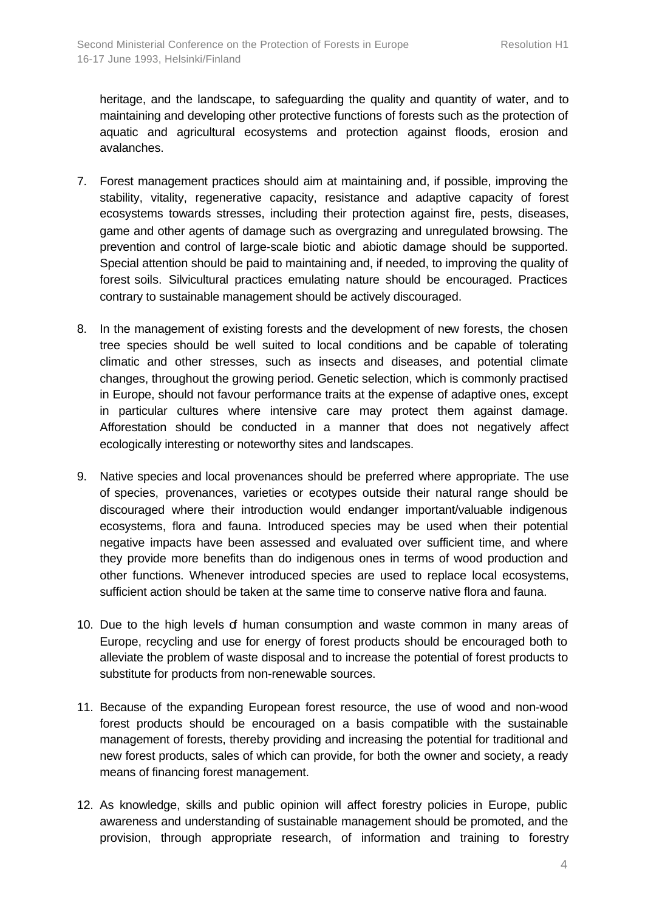heritage, and the landscape, to safeguarding the quality and quantity of water, and to maintaining and developing other protective functions of forests such as the protection of aquatic and agricultural ecosystems and protection against floods, erosion and avalanches.

- 7. Forest management practices should aim at maintaining and, if possible, improving the stability, vitality, regenerative capacity, resistance and adaptive capacity of forest ecosystems towards stresses, including their protection against fire, pests, diseases, game and other agents of damage such as overgrazing and unregulated browsing. The prevention and control of large-scale biotic and abiotic damage should be supported. Special attention should be paid to maintaining and, if needed, to improving the quality of forest soils. Silvicultural practices emulating nature should be encouraged. Practices contrary to sustainable management should be actively discouraged.
- 8. In the management of existing forests and the development of new forests, the chosen tree species should be well suited to local conditions and be capable of tolerating climatic and other stresses, such as insects and diseases, and potential climate changes, throughout the growing period. Genetic selection, which is commonly practised in Europe, should not favour performance traits at the expense of adaptive ones, except in particular cultures where intensive care may protect them against damage. Afforestation should be conducted in a manner that does not negatively affect ecologically interesting or noteworthy sites and landscapes.
- 9. Native species and local provenances should be preferred where appropriate. The use of species, provenances, varieties or ecotypes outside their natural range should be discouraged where their introduction would endanger important/valuable indigenous ecosystems, flora and fauna. Introduced species may be used when their potential negative impacts have been assessed and evaluated over sufficient time, and where they provide more benefits than do indigenous ones in terms of wood production and other functions. Whenever introduced species are used to replace local ecosystems, sufficient action should be taken at the same time to conserve native flora and fauna.
- 10. Due to the high levels of human consumption and waste common in many areas of Europe, recycling and use for energy of forest products should be encouraged both to alleviate the problem of waste disposal and to increase the potential of forest products to substitute for products from non-renewable sources.
- 11. Because of the expanding European forest resource, the use of wood and non-wood forest products should be encouraged on a basis compatible with the sustainable management of forests, thereby providing and increasing the potential for traditional and new forest products, sales of which can provide, for both the owner and society, a ready means of financing forest management.
- 12. As knowledge, skills and public opinion will affect forestry policies in Europe, public awareness and understanding of sustainable management should be promoted, and the provision, through appropriate research, of information and training to forestry